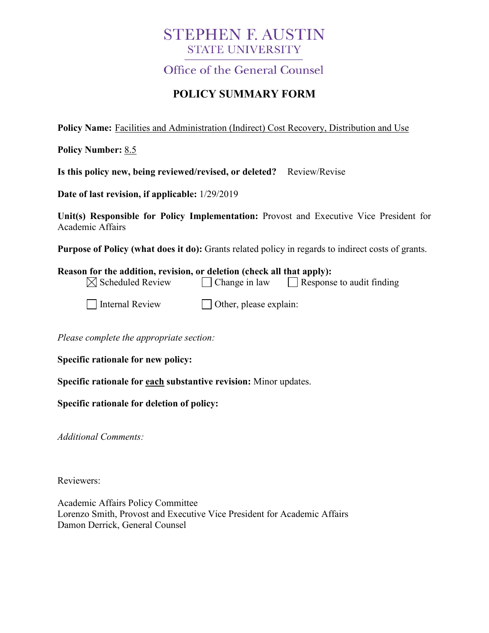# **STEPHEN F. AUSTIN STATE UNIVERSITY**

**Office of the General Counsel** 

# **POLICY SUMMARY FORM**

**Policy Name:** Facilities and Administration (Indirect) Cost Recovery, Distribution and Use

**Policy Number:** 8.5

**Is this policy new, being reviewed/revised, or deleted?** Review/Revise

**Date of last revision, if applicable:** 1/29/2019

**Unit(s) Responsible for Policy Implementation:** Provost and Executive Vice President for Academic Affairs

**Purpose of Policy (what does it do):** Grants related policy in regards to indirect costs of grants.

| Reason for the addition, revision, or deletion (check all that apply): |                      |                                  |
|------------------------------------------------------------------------|----------------------|----------------------------------|
| $\boxtimes$ Scheduled Review                                           | $\Box$ Change in law | $\Box$ Response to audit finding |
|                                                                        |                      |                                  |

| Internal Review |
|-----------------|
|                 |

 $\Box$  Other, please explain:

*Please complete the appropriate section:*

**Specific rationale for new policy:**

**Specific rationale for each substantive revision:** Minor updates.

**Specific rationale for deletion of policy:**

*Additional Comments:*

Reviewers:

Academic Affairs Policy Committee Lorenzo Smith, Provost and Executive Vice President for Academic Affairs Damon Derrick, General Counsel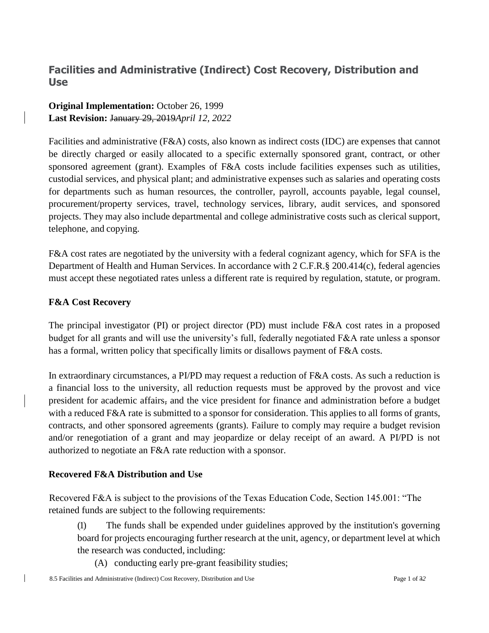## **Facilities and Administrative (Indirect) Cost Recovery, Distribution and Use**

### **Original Implementation:** October 26, 1999 **Last Revision:** January 29, 2019*April 12, 2022*

Facilities and administrative (F&A) costs, also known as indirect costs (IDC) are expenses that cannot be directly charged or easily allocated to a specific externally sponsored grant, contract, or other sponsored agreement (grant). Examples of F&A costs include facilities expenses such as utilities, custodial services, and physical plant; and administrative expenses such as salaries and operating costs for departments such as human resources, the controller, payroll, accounts payable, legal counsel, procurement/property services, travel, technology services, library, audit services, and sponsored projects. They may also include departmental and college administrative costs such as clerical support, telephone, and copying.

F&A cost rates are negotiated by the university with a federal cognizant agency, which for SFA is the Department of Health and Human Services. In accordance with 2 C.F.R.§ 200.414(c), federal agencies must accept these negotiated rates unless a different rate is required by regulation, statute, or program.

### **F&A Cost Recovery**

The principal investigator (PI) or project director (PD) must include F&A cost rates in a proposed budget for all grants and will use the university's full, federally negotiated F&A rate unless a sponsor has a formal, written policy that specifically limits or disallows payment of F&A costs.

In extraordinary circumstances, a PI/PD may request a reduction of F&A costs. As such a reduction is a financial loss to the university, all reduction requests must be approved by the provost and vice president for academic affairs, and the vice president for finance and administration before a budget with a reduced F&A rate is submitted to a sponsor for consideration. This applies to all forms of grants, contracts, and other sponsored agreements (grants). Failure to comply may require a budget revision and/or renegotiation of a grant and may jeopardize or delay receipt of an award. A PI/PD is not authorized to negotiate an F&A rate reduction with a sponsor.

### **Recovered F&A Distribution and Use**

Recovered F&A is subject to the provisions of the Texas Education Code, Section 145.001: "The retained funds are subject to the following requirements:

- (1) The funds shall be expended under guidelines approved by the institution's governing board for projects encouraging further research at the unit, agency, or department level at which the research was conducted, including:
	- (A) conducting early pre-grant feasibility studies;